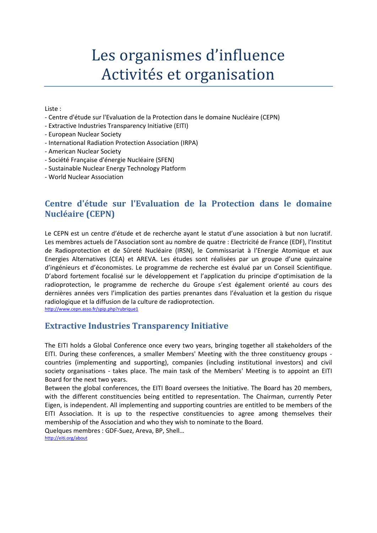# Les organismes d'influence Activités et organisation

Liste :

- Centre d'étude sur l'Evaluation de la Protection dans le domaine Nucléaire (CEPN)
- Extractive Industries Transparency Initiative (EITI)
- European Nuclear Society
- International Radiation Protection Association (IRPA)
- American Nuclear Society
- Société Française d'énergie Nucléaire (SFEN)
- Sustainable Nuclear Energy Technology Platform
- World Nuclear Association

# **Centre d'étude sur l'Evaluation de la Protection dans le domaine Nucléaire (CEPN)**

Le CEPN est un centre d'étude et de recherche ayant le statut d'une association à but non lucratif. Les membres actuels de l'Association sont au nombre de quatre : Electricité de France (EDF), l'Institut de Radioprotection et de Sûreté Nucléaire (IRSN), le Commissariat à l'Energie Atomique et aux Energies Alternatives (CEA) et AREVA. Les études sont réalisées par un groupe d'une quinzaine d'ingénieurs et d'économistes. Le programme de recherche est évalué par un Conseil Scientifique. D'abord fortement focalisé sur le développement et l'application du principe d'optimisation de la radioprotection, le programme de recherche du Groupe s'est également orienté au cours des dernières années vers l'implication des parties prenantes dans l'évaluation et la gestion du risque radiologique et la diffusion de la culture de radioprotection.

<http://www.cepn.asso.fr/spip.php?rubrique1>

## **Extractive Industries Transparency Initiative**

The EITI holds a Global Conference once every two years, bringing together all stakeholders of the EITI. During these conferences, a smaller Members' Meeting with the three constituency groups countries (implementing and supporting), companies (including institutional investors) and civil society organisations - takes place. The main task of the Members' Meeting is to appoint an EITI Board for the next two years.

Between the global conferences, the EITI Board oversees the Initiative. The Board has 20 members, with the different constituencies being entitled to representation. The Chairman, currently Peter Eigen, is independent. All implementing and supporting countries are entitled to be members of the EITI Association. It is up to the respective constituencies to agree among themselves their membership of the Association and who they wish to nominate to the Board.

Quelques membres : GDF-Suez, Areva, BP, Shell… <http://eiti.org/about>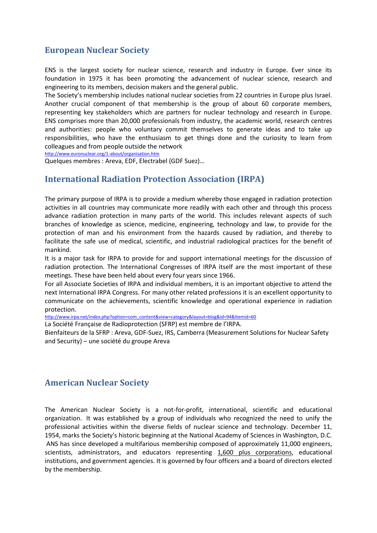## **European Nuclear Society**

ENS is the largest society for nuclear science, research and industry in Europe. Ever since its foundation in 1975 it has been promoting the advancement of nuclear science, research and engineering to its members, decision makers and the general public.

The Society's membership includes national nuclear societies from 22 countries in Europe plus Israel. Another crucial component of that membership is the group of about 60 corporate members, representing key stakeholders which are partners for nuclear technology and research in Europe. ENS comprises more than 20,000 professionals from industry, the academic world, research centres and authorities: people who voluntary commit themselves to generate ideas and to take up responsibilities, who have the enthusiasm to get things done and the curiosity to learn from colleagues and from people outside the network

<http://www.euronuclear.org/1-about/organisation.htm>

Quelques membres : Areva, EDF, Electrabel (GDF Suez)…

#### **International Radiation Protection Association (IRPA)**

The primary purpose of IRPA is to provide a medium whereby those engaged in radiation protection activities in all countries may communicate more readily with each other and through this process advance radiation protection in many parts of the world. This includes relevant aspects of such branches of knowledge as science, medicine, engineering, technology and law, to provide for the protection of man and his environment from the hazards caused by radiation, and thereby to facilitate the safe use of medical, scientific, and industrial radiological practices for the benefit of mankind.

It is a major task for IRPA to provide for and support international meetings for the discussion of radiation protection. The International Congresses of IRPA itself are the most important of these meetings. These have been held about every four years since 1966.

For all Associate Societies of IRPA and individual members, it is an important objective to attend the next International IRPA Congress. For many other related professions it is an excellent opportunity to communicate on the achievements, scientific knowledge and operational experience in radiation protection.

[http://www.irpa.net/index.php?option=com\\_content&view=category&layout=blog&id=94&Itemid=60](http://www.irpa.net/index.php?option=com_content&view=category&layout=blog&id=94&Itemid=60)

La Société Française de Radioprotection (SFRP) est membre de l'IRPA.

Bienfaiteurs de la SFRP : Areva, GDF-Suez, IRS, Camberra (Measurement Solutions for Nuclear Safety and Security) – une société du groupe Areva

## **American Nuclear Society**

The American Nuclear Society is a not-for-profit, international, scientific and educational organization. It was established by a group of individuals who recognized the need to unify the professional activities within the diverse fields of nuclear science and technology. December 11, 1954, marks the Society's historic beginning at the National Academy of Sciences in Washington, D.C. ANS has since developed a multifarious membership composed of approximately 11,000 engineers, scientists, administrators, and educators representing 1,600 plus corporations, educational institutions, and government agencies. It is governed by four officers and a board of directors elected by the membership.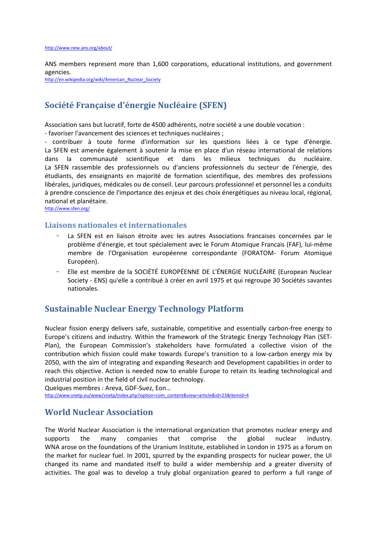ANS members represent more than 1,600 corporations, educational institutions, and government agencies.

[http://en.wikipedia.org/wiki/American\\_Nuclear\\_Society](http://en.wikipedia.org/wiki/American_Nuclear_Society)

# **Société Française d'énergie Nucléaire (SFEN)**

Association sans but lucratif, forte de 4500 adhérents, notre société a une double vocation :

- favoriser l'avancement des sciences et techniques nucléaires ;

- contribuer à toute forme d'information sur les questions liées à ce type d'énergie. La SFEN est amenée également à soutenir la mise en place d'un réseau international de relations dans la communauté scientifique et dans les milieux techniques du nucléaire. La SFEN rassemble des professionnels ou d'anciens professionnels du secteur de l'énergie, des étudiants, des enseignants en majorité de formation scientifique, des membres des professions libérales, juridiques, médicales ou de conseil. Leur parcours professionnel et personnel les a conduits à prendre conscience de l'importance des enjeux et des choix énergétiques au niveau local, régional, national et planétaire.

<http://www.sfen.org/>

#### **Liaisons nationales et internationales**

- La SFEN est en liaison étroite avec les autres Associations francaises concernées par le problème d'énergie, et tout spécialement avec le Forum Atomique Francais (FAF), lui-même membre de l'Organisation européenne correspondante (FORATOM- Forum Atomique Européen).
- Elle est membre de la SOCIÉTÉ EUROPÉENNE DE L'ÉNERGIE NUCLÉAIRE (European Nuclear Society - ENS) qu'elle a contribué à créer en avril 1975 et qui regroupe 30 Sociétés savantes nationales.

#### **Sustainable Nuclear Energy Technology Platform**

Nuclear fission energy delivers safe, sustainable, competitive and essentially carbon-free energy to Europe's citizens and industry. Within the framework of the Strategic Energy Technology Plan (SET-Plan), the European Commission's stakeholders have formulated a collective vision of the contribution which fission could make towards Europe's transition to a low-carbon energy mix by 2050, with the aim of integrating and expanding Research and Development capabilities in order to reach this objective. Action is needed now to enable Europe to retain its leading technological and industrial position in the field of civil nuclear technology.

Quelques membres : Areva, GDF-Suez, Eon… [http://www.snetp.eu/www/snetp/index.php?option=com\\_content&view=article&id=23&Itemid=4](http://www.snetp.eu/www/snetp/index.php?option=com_content&view=article&id=23&Itemid=4)

#### **World Nuclear Association**

The World Nuclear Association is the international organization that promotes nuclear energy and supports the many companies that comprise the global nuclear industry. WNA arose on the foundations of the Uranium Institute, established in London in 1975 as a forum on the market for nuclear fuel. In 2001, spurred by the expanding prospects for nuclear power, the UI changed its name and mandated itself to build a wider membership and a greater diversity of activities. The goal was to develop a truly global organization geared to perform a full range of